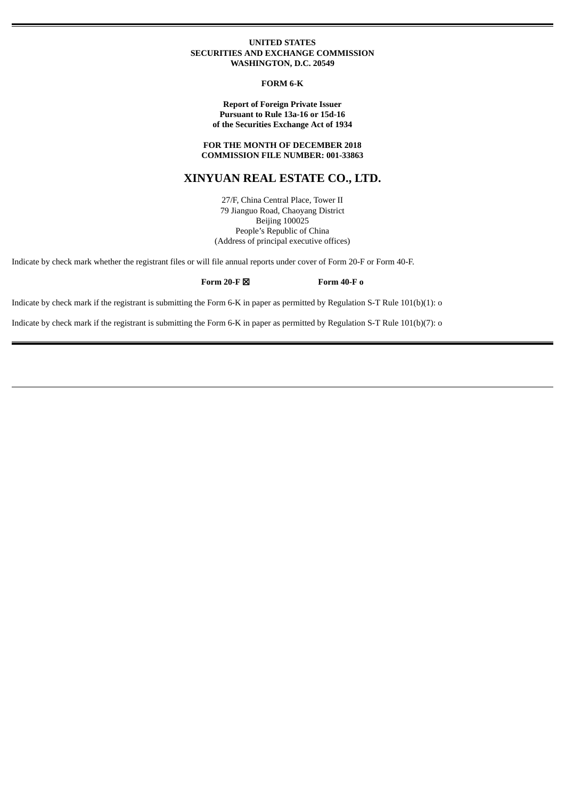#### **UNITED STATES SECURITIES AND EXCHANGE COMMISSION WASHINGTON, D.C. 20549**

**FORM 6-K**

**Report of Foreign Private Issuer Pursuant to Rule 13a-16 or 15d-16 of the Securities Exchange Act of 1934**

**FOR THE MONTH OF DECEMBER 2018 COMMISSION FILE NUMBER: 001-33863**

# **XINYUAN REAL ESTATE CO., LTD.**

27/F, China Central Place, Tower II 79 Jianguo Road, Chaoyang District Beijing 100025 People's Republic of China (Address of principal executive offices)

Indicate by check mark whether the registrant files or will file annual reports under cover of Form 20-F or Form 40-F.

**Form 20-F** ☒ **Form 40-F o**

Indicate by check mark if the registrant is submitting the Form 6-K in paper as permitted by Regulation S-T Rule 101(b)(1): o

Indicate by check mark if the registrant is submitting the Form 6-K in paper as permitted by Regulation S-T Rule 101(b)(7): o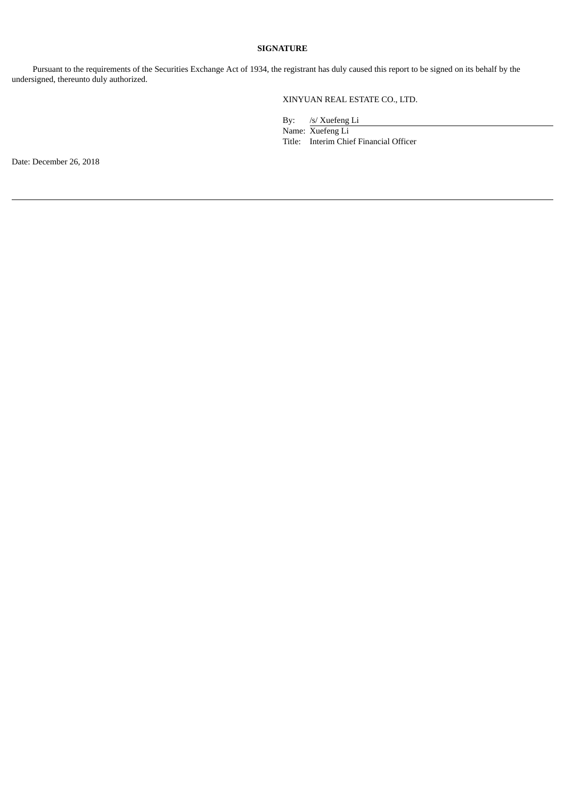# **SIGNATURE**

Pursuant to the requirements of the Securities Exchange Act of 1934, the registrant has duly caused this report to be signed on its behalf by the undersigned, thereunto duly authorized.

XINYUAN REAL ESTATE CO., LTD.

By: /s/ Xuefeng Li

Name: Xuefeng Li Title: Interim Chief Financial Officer

Date: December 26, 2018